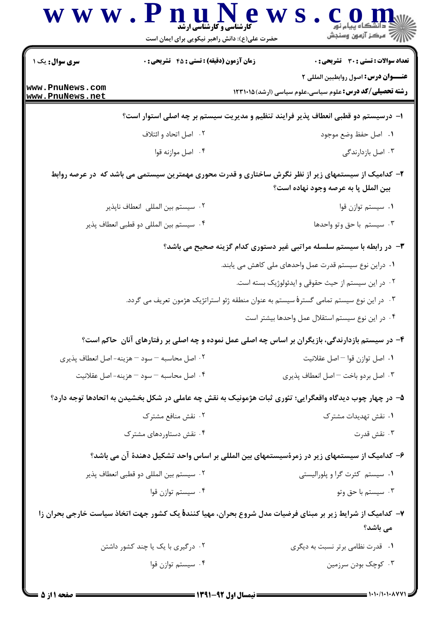|                                    |                                                                                                           | حضرت علی(ع): دانش راهبر نیکویی برای ایمان است                                 |
|------------------------------------|-----------------------------------------------------------------------------------------------------------|-------------------------------------------------------------------------------|
| <b>سری سوال :</b> یک ۱             | <b>زمان آزمون (دقیقه) : تستی : 45 گشریحی : 0</b>                                                          | تعداد سوالات : تستي : 30 ٪ تشريحي : 0<br>عنـــوان درس: اصول روابطبين المللي ٢ |
| www.PnuNews.com<br>www.PnuNews.net |                                                                                                           | <b>رشته تحصیلی/کد درس:</b> علوم سیاسی،علوم سیاسی (ارشد) ۱۲۳۱۰۱۵               |
|                                    | ۱– درسیستم دو قطبی انعطاف پذیر فرایند تنظیم و مدیریت سیستم بر چه اصلی استوار است؟                         |                                                                               |
|                                    | ۰۲ اصل اتحاد و ائتلاف                                                                                     | ٠١. اصل حفظ وضع موجود                                                         |
|                                    | ۰۴ اصل موازنه قوا                                                                                         | ۰۳ اصل بازدارندگی                                                             |
|                                    | ۲– کدامیک از سیستمهای زیر از نظر نگرش ساختاری و قدرت محوری مهمترین سیستمی می باشد که ًدر عرصه روابط       | بين الملل پا به عرصه وجود نهاده است؟                                          |
|                                    | ٠٢ سيستم بين المللي انعطاف ناپذير                                                                         | ۰۱ سیستم توازن قوا                                                            |
|                                    | ۰۴ سیستم بین المللی دو قطبی انعطاف پذیر                                                                   | ۰۳ سیستم با حق وتو واحدها                                                     |
|                                    |                                                                                                           | ۳- در رابطه با سیستم سلسله مراتبی غیر دستوری کدام گزینه صحیح می باشد؟         |
|                                    |                                                                                                           | ۰۱ دراین نوع سیستم قدرت عمل واحدهای ملی کاهش می یابند.                        |
|                                    |                                                                                                           | ۰۲ در این سیستم از حیث حقوقی و ایدئولوژیک بسته است.                           |
|                                    | ۰۳ در این نوع سیستم تمامی گسترهٔ سیستم به عنوان منطقه ژئو استراتژیک هژمون تعریف می گردد.                  |                                                                               |
|                                    |                                                                                                           | ۰۴ در این نوع سیستم استقلال عمل واحدها بیشتر است                              |
|                                    | ۴- در سیستم بازدارندگی، بازیگران بر اساس چه اصلی عمل نموده و چه اصلی بر رفتارهای آنان ِ حاکم است؟         |                                                                               |
|                                    | ۰۲ اصل محاسبه – سود – هزينه- اصل انعطاف پذيري                                                             | ٠١. اصل توازن قوا – اصل عقلانيت                                               |
|                                    | ۰۴ اصل محاسبه – سود – هزينه- اصل عقلانيت                                                                  | ٠٣ اصل بردو باخت - اصل انعطاف پذيري                                           |
|                                    | ۵– در چهار چوب دیدگاه واقعگرایی؛ تئوری ثبات هژمونیک به نقش چه عاملی در شکل بخشیدن به اتحادها توجه دارد؟   |                                                                               |
|                                    | ۰۲ نقش منافع مشترک                                                                                        | ۰۱ نقش تهدیدات مشترک                                                          |
|                                    | ۰۴ نقش دستاوردهای مشترک                                                                                   | ۰۳ نقش قدرت                                                                   |
|                                    | ۶– کدامیک از سیستمهای زیر در زمرهٔسیستمهای بین المللی بر اساس واحد تشکیل دهندهٔ آن می باشد؟               |                                                                               |
|                                    | ۰۲ سیستم بین المللی دو قطبی انعطاف پذیر                                                                   | ٠١ سيستم كثرت گرا و پلوراليستي                                                |
|                                    | ۰۴ سیستم توازن قوا                                                                                        | ۰۳ سیستم با حق وتو                                                            |
|                                    | ۷– کدامیک از شرایط زیر بر مبنای فرضیات مدل شروع بحران، مهیا کنندهٔ یک کشور جهت اتخاذ سیاست خارجی بحران زا | می باشد؟                                                                      |
|                                    | ۰۲ درگیری با یک یا چند کشور داشتن                                                                         | ۰۱ قدرت نظامی برتر نسبت به دیگری                                              |
|                                    |                                                                                                           |                                                                               |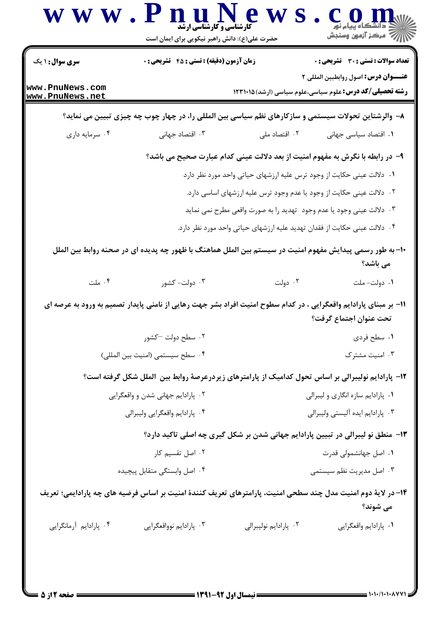| سری سوال: ۱ یک $\Vert$             | زمان آزمون (دقیقه) : تستی : 45 آتشریحی : 0                                                                        |                                                                                 | <b>تعداد سوالات : تستی : 30 ٪ تشریحی : 0</b> |
|------------------------------------|-------------------------------------------------------------------------------------------------------------------|---------------------------------------------------------------------------------|----------------------------------------------|
| www.PnuNews.com<br>www.PnuNews.net | عنـــوان درس: اصول روابطبين المللي ٢<br><b>رشته تحصیلی/کد درس:</b> علوم سیاسی،علوم سیاسی (ارشد) ۱۲۳۱۰۱۵           |                                                                                 |                                              |
|                                    | ۸– والرشتاین تحولات سیستمی و سازکارهای نظم سیاسی بین المللی را، در چهار چوب چه چیزی تبیین می نماید؟               |                                                                                 |                                              |
| ۰۴ سرمايه داري                     | ۰۳ اقتصاد جهانی                                                                                                   | ۰۲ اقتصاد ملی                                                                   | ۰۱ اقتصاد سیاسی جهانی                        |
|                                    |                                                                                                                   | ۹– در رابطه با نگرش به مفهوم امنیت از بعد دلالت عینی کدام عبارت صحیح می باشد؟   |                                              |
|                                    |                                                                                                                   | ۰۱ دلالت عینی حکایت از وجود ترس علیه ارزشهای حیاتی واحد مورد نظر دارد           |                                              |
|                                    |                                                                                                                   | ۰۲ دلالت عینی حکایت از وجود یا عدم وجود ترس علیه ارزشهای اساسی دارد.            |                                              |
|                                    |                                                                                                                   | ۰۳ دلالت عینی وجود یا عدم وجود  تهدید را به صورت واقعی مطرح نمی نماید           |                                              |
|                                    |                                                                                                                   | ۰۴ دلالت عینی حکایت از فقدان تهدید علیه ارزشهای حیاتی واحد مورد نظر دارد.       |                                              |
|                                    | +١- به طور رسمي پيدايش مفهوم امنيت در سيستم بين الملل هماهنگ با ظهور چه پديده اي در صحنه روابط بين الملل          |                                                                                 | می باشد؟                                     |
| ۰۴ ملت                             | ۰۳ دولت- کشور                                                                                                     | ۰۲ دولت                                                                         | ۰۱ دولت- ملت                                 |
|                                    | 1۱– بر مبنای پارادایم واقعگرایی ، در کدام سطوح امنیت افراد بشر جهت رهایی از نامنی پایدار تصمیم به ورود به عرصه ای |                                                                                 | تحت عنوان اجتماع گرفت؟                       |
|                                    | ۰۲ سطح دولت —کشور                                                                                                 |                                                                                 | ۰۱ سطح فردي                                  |
|                                    | ۰۴ سطح سيستمي (امنيت بين المللي)                                                                                  |                                                                                 | ۰۳ امنیت مشترک                               |
|                                    | ۱۲- پارادایم نولیبرالی بر اساس تحول کدامیک از پارامترهای زیردرعرصهٔ روابط بین الملل شکل گرفته است؟                |                                                                                 |                                              |
|                                    | ۰۲ پارادایم جهانی شدن و واقعگرایی                                                                                 |                                                                                 | ۰۱ پارادایم سازه انگاری و لیبرالی            |
|                                    | ۰۴ پارادايم واقعگرايي وليبرالي                                                                                    |                                                                                 | ٠٣ پارادايم ايده آليستي وليبرالي             |
|                                    |                                                                                                                   | ۱۳- منطق نو لیبرالی در تبیین پارادایم جهانی شدن بر شکل گیری چه اصلی تاکید دارد؟ |                                              |
| ۰۲ اصل تقسیم کار                   |                                                                                                                   | ۰۱ اصل جهانشمولی قدرت                                                           |                                              |
|                                    | ۰۴ اصل وابستگی متقابل پیچیده                                                                                      |                                                                                 | ۰۳ اصل مدیریت نظم سیستمی                     |
|                                    | ۱۴– در لایهٔ دوم امنیت مدل چند سطحی امنیت، پارامترهای تعریف کنندهٔ امنیت بر اساس فرضیه های چه پارادایمی؛ تعریف    |                                                                                 | می شوند؟                                     |
|                                    |                                                                                                                   |                                                                                 |                                              |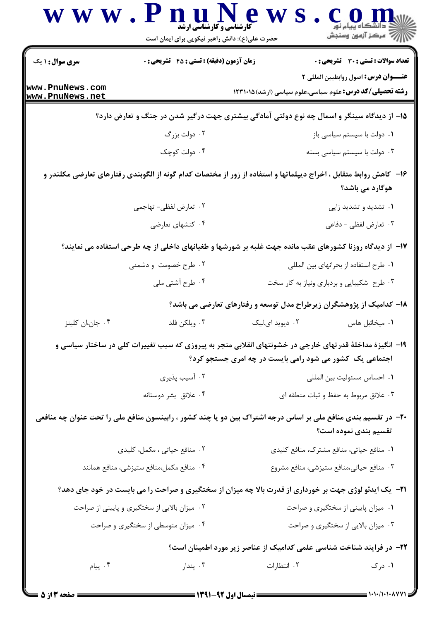| <b>سری سوال :</b> ۱ یک             | <b>زمان آزمون (دقیقه) : تستی : 45 تشریحی : 0</b>                                                                  |                                          | تعداد سوالات : تستي : 30 ٪ تشريحي : 0                                                                         |
|------------------------------------|-------------------------------------------------------------------------------------------------------------------|------------------------------------------|---------------------------------------------------------------------------------------------------------------|
| www.PnuNews.com<br>www.PnuNews.net |                                                                                                                   |                                          | <b>عنـــوان درس:</b> اصول روابطبين المللي ٢<br><b>رشته تحصیلی/کد درس:</b> علوم سیاسی،علوم سیاسی (ارشد)۱۲۳۱۰۱۵ |
|                                    | ۱۵– از دیدگاه سینگر و اسمال چه نوع دولتی آمادگی بیشتری جهت درگیر شدن در جنگ و تعارض دارد؟                         |                                          |                                                                                                               |
|                                    | ۰۲ دولت بزرگ                                                                                                      |                                          | ۰۱ دولت با سیستم سیاسی باز                                                                                    |
|                                    | ۰۴ دولت کوچک                                                                                                      |                                          | ۰۳ دولت با سیستم سیاسی بسته                                                                                   |
|                                    | ۱۶– کاهش روابط متقابل ، اخراج دیپلماتها و استفاده از زور از مختصات کدام گونه از الگوبندی رفتارهای تعارضی مکلندر و |                                          | هوگارد می باشد؟                                                                                               |
|                                    | ۰۲ تعارض لفظی- تهاجمی                                                                                             |                                          | ۰۱ تشدید و تشدید زایی                                                                                         |
|                                    | ۰۴ کنشهای تعارضی                                                                                                  |                                          | ۰۳ تعارض لفظی - دفاعی                                                                                         |
|                                    | ۱۷– از دیدگاه روزنا کشورهای عقب مانده جهت غلبه بر شورشها و طغیانهای داخلی از چه طرحی استفاده می نمایند؟           |                                          |                                                                                                               |
|                                    | ۰۲ طرح خصومت و دشمنی                                                                                              |                                          | ٠١ طرح استفاده از بحرانهاى بين المللى                                                                         |
|                                    | ۰۴ طرح آشتی ملی                                                                                                   |                                          | ۰۳ طرح شکیبایی و بردباری ونیاز به کار سخت                                                                     |
|                                    |                                                                                                                   |                                          | ۱۸– کدامیک از پژوهشگران زیرطراح مدل توسعه و رفتارهای تعارضی می باشد؟                                          |
| ۰۴ جان،ان کلینز                    | ۰۳ ویلکن فلد                                                                                                      | ۰۲ دیوید ای.لیک                          | ٠١ ميخائيل هاس                                                                                                |
|                                    | ۱۹- انگیزهٔ مداخلهٔ قدرتهای خارجی در خشونتهای انقلابی منجر به پیروزی که سبب تغییرات کلی در ساختار سیاسی و         |                                          | اجتماعی یک کشور می شود رامی بایست در چه امری جستجو کرد؟                                                       |
|                                    | ۰۲ آسیب پذیری                                                                                                     |                                          | ٠١ احساس مسئوليت بين المللي                                                                                   |
|                                    | ۰۴ علائق بشر دوستانه                                                                                              |                                          | ۰۳ علائق مربوط به حفظ و ثبات منطقه ای                                                                         |
|                                    | +۲- در تقسیم بندی منافع ملی بر اساس درجه اشتراک بین دو یا چند کشور ، رابینسون منافع ملی را تحت عنوان چه منافعی    |                                          | تقسیم بندی نموده است؟                                                                                         |
| ٢. منافع حیاتی ، مکمل، کلیدی       |                                                                                                                   | ٠١ منافع حياتي، منافع مشترك، منافع كليدي |                                                                                                               |
|                                    | ۰۴ منافع مكمل،منافع ستيزشي، منافع همانند                                                                          | ٠٣ منافع حياتي،منافع ستيزشي، منافع مشروع |                                                                                                               |
|                                    | <b>۲۱</b> - یک ایدئو لوژی جهت بر خورداری از قدرت بالا چه میزان از سختگیری و صراحت را می بایست در خود جای دهد؟     |                                          |                                                                                                               |
|                                    | ۰۲ میزان بالایی از سختگیری و پایینی از صراحت                                                                      |                                          | ٠١ ميزان پاييني از سختگيري و صراحت                                                                            |
|                                    | ۰۴ میزان متوسطی از سختگیری و صراحت                                                                                |                                          | ۰۳ میزان بالایی از سختگیری و صراحت                                                                            |
|                                    |                                                                                                                   |                                          | ۲۲– در فرایند شناخت شناسی علمی کدامیک از عناصر زیر مورد اطمینان است؟                                          |
| ۰۴ پیام                            | بندار $\cdot$ ۳                                                                                                   | ۰۲ انتظارات                              | ۰۱ درک                                                                                                        |

 $=$  1+1+/1+1+۸77\*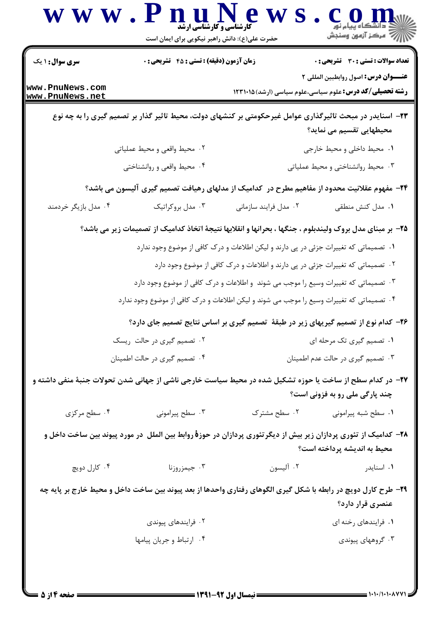|                                    |                                                                                                                | حضرت علی(ع): دانش راهبر نیکویی برای ایمان است                                         |                                                                                                                                             |
|------------------------------------|----------------------------------------------------------------------------------------------------------------|---------------------------------------------------------------------------------------|---------------------------------------------------------------------------------------------------------------------------------------------|
| <b>سری سوال : ۱ یک</b>             | <b>زمان آزمون (دقیقه) : تستی : 45 قشریحی : 0</b>                                                               |                                                                                       | <b>تعداد سوالات : تستی : 30 ٪ تشریحی : 0</b>                                                                                                |
| www.PnuNews.com<br>www.PnuNews.net |                                                                                                                |                                                                                       | عنـــوان درس: اصول روابطبين المللي ٢<br><b>رشته تحصیلی/کد درس:</b> علوم سیاسی،علوم سیاسی (ارشد) ۱۲۳۱۰۱۵                                     |
|                                    |                                                                                                                |                                                                                       | ۲۳- اسنایدر در مبحث تاثیرگذاری عوامل غیرحکومتی بر کنشهای دولت، محیط تاثیر گذار بر تصمیم گیری را به چه نوع<br>محیطهایی تقسیم می نماید؟       |
|                                    | ٢. محيط واقعى و محيط عملياتي                                                                                   |                                                                                       | ۰۱ محیط داخلی و محیط خارجی                                                                                                                  |
|                                    | ۰۴ محیط واقعی و روانشناختی                                                                                     |                                                                                       | ۰۳ محیط روانشناختی و محیط عملیاتی                                                                                                           |
|                                    |                                                                                                                |                                                                                       | ۲۴– مفهوم عقلانیت محدود از مفاهیم مطرح در کدامیک از مدلهای رهیافت تصمیم گیری آلیسون می باشد؟                                                |
| ۰۴ مدل بازیگر خردمند               | ۰۳ مدل بروکراتیک                                                                                               | ۰۲ مدل فرایند سازمانی                                                                 | ٠١. مدل كنش منطقى                                                                                                                           |
|                                    |                                                                                                                |                                                                                       | ۲۵- بر مبنای مدل بروک ولیندبلوم ، جنگها ، بحرانها و انقلابها نتیجهٔ اتخاذ کدامیک از تصمیمات زیر می باشد؟                                    |
|                                    |                                                                                                                | ۰۱ تصمیماتی که تغییرات جزئی در پی دارند و لیکن اطلاعات و درک کافی از موضوع وجود ندارد |                                                                                                                                             |
|                                    |                                                                                                                | ۰۲ تصمیماتی که تغییرات جزئی در پی دارند و اطلاعات و درک کافی از موضوع وجود دارد       |                                                                                                                                             |
|                                    |                                                                                                                | ۰۳ تصمیماتی که تغییرات وسیع را موجب می شوند ًو اطلاعات و درک کافی از موضوع وجود دارد  |                                                                                                                                             |
|                                    | ۰۴ تصمیماتی که تغییرات وسیع را موجب می شوند و لیکن اطلاعات و درک کافی از موضوع وجود ندارد                      |                                                                                       |                                                                                                                                             |
|                                    |                                                                                                                |                                                                                       | ۲۶– کدام نوع از تصمیم گیریهای زیر در طبقهٔ تصمیم گیری بر اساس نتایج تصمیم جای دارد؟                                                         |
|                                    | ۰۲ تصمیم گیری در حالت ریسک                                                                                     |                                                                                       | ۰۱ تصمیم گیری تک مرحله ای                                                                                                                   |
|                                    | ۰۴ تصمیم گیری در حالت اطمینان                                                                                  |                                                                                       | ۰۳ تصمیم گیری در حالت عدم اطمینان                                                                                                           |
|                                    |                                                                                                                |                                                                                       | ۲۷– در کدام سطح از ساخت یا حوزه تشکیل شده در محیط سیاست خارجی ناشی از جهانی شدن تحولات جنبهٔ منفی داشته و<br>چند پارگی ملی رو به فزونی است؟ |
| ۰۴ سطح مرکزی                       | ۰۳ سطح پیرامونی                                                                                                | ٠٢ سطح مشترک                                                                          | ٠١ سطح شبه پيراموني                                                                                                                         |
|                                    |                                                                                                                |                                                                                       | ۲۸– کدامیک از تئوری پردازان زیر بیش از دیگرتئوری پردازان در حوزهٔ روابط بین الملل ًدر مورد پیوند بین ساخت داخل و                            |
|                                    |                                                                                                                |                                                                                       | محیط به اندیشه پرداخته است؟                                                                                                                 |
| ۰۴ کارل دويچ                       | ۰۳ جیمزروزنا                                                                                                   | ۰۲ آليسون                                                                             | ۰۱ اسنایدر                                                                                                                                  |
|                                    | ۲۹- طرح کارل دویچ در رابطه با شکل گیری الگوهای رفتاری واحدها از بعد پیوند بین ساخت داخل و محیط خارج بر پایه چه |                                                                                       | عنصری قرار دارد؟                                                                                                                            |
|                                    | ۰۲ فرایندهای پیوندی                                                                                            |                                                                                       | ۰۱ فرایندهای رخنه ای                                                                                                                        |
|                                    | ۰۴ ارتباط وجريان پيامها                                                                                        |                                                                                       | ۰۳ گروههای پیوندی                                                                                                                           |

 $= 1.1.11.1.1.04$